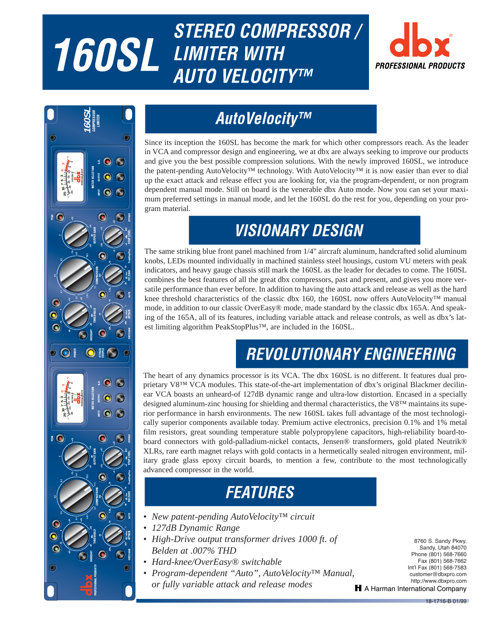# **160SLStereo Compresssor / 160SL LIMITER WITH AUTORESSIONAL PROFESSIONAL PRODUCTS**





## **AutoVelocity™**

Since its inception the 160SL has become the mark for which other compressors reach. As the leader in VCA and compressor design and engineering, we at dbx are always seeking to improve our products and give you the best possible compression solutions. With the newly improved 160SL, we introduce the patent-pending AutoVelocity™ technology. With AutoVelocity™ it is now easier than ever to dial up the exact attack and release effect you are looking for, via the program-dependent, or non program dependent manual mode. Still on board is the venerable dbx Auto mode. Now you can set your maximum preferred settings in manual mode, and let the 160SL do the rest for you, depending on your program material.

## **VISIONARY DESIGN**

The same striking blue front panel machined from 1/4" aircraft aluminum, handcrafted solid aluminum knobs, LEDs mounted individually in machined stainless steel housings, custom VU meters with peak indicators, and heavy gauge chassis still mark the 160SL as the leader for decades to come. The 160SL combines the best features of all the great dbx compressors, past and present, and gives you more versatile performance than ever before. In addition to having the auto attack and release as well as the hard knee threshold characteristics of the classic dbx 160, the 160SL now offers AutoVelocity™ manual mode, in addition to our classic OverEasy® mode, made standard by the classic dbx 165A. And speaking of the 165A, all of its features, including variable attack and release controls, as well as dbx's latest limiting algorithm PeakStopPlus™, are included in the 160SL.

# **REVOLUTIONARY ENGINEERING**

The heart of any dynamics processor is its VCA. The dbx 160SL is no different. It features dual proprietary V8™ VCA modules. This state-of-the-art implementation of dbx's original Blackmer decilinear VCA boasts an unheard-of 127dB dynamic range and ultra-low distortion. Encased in a specially designed aluminum-zinc housing for shielding and thermal characteristics, the V8™ maintains its superior performance in harsh environments. The new 160SL takes full advantage of the most technologically superior components available today. Premium active electronics, precision 0.1% and 1% metal film resistors, great sounding temperature stable polypropylene capacitors, high-reliability board-toboard connectors with gold-palladium-nickel contacts, Jensen® transformers, gold plated Neutrik® XLRs, rare earth magnet relays with gold contacts in a hermetically sealed nitrogen environment, military grade glass epoxy circuit boards, to mention a few, contribute to the most technologically advanced compressor in the world. **160 Startus**<br>**160 Startus**<br>**160 Startus**<br>**160 Startus** 

## **FEATURES**

- *New patent-pending AutoVelocity™ circuit*
- *127dB Dynamic Range*
	- *High-Drive output transformer drives 1000 ft. of Belden at .007% THD*
	- *Hard-knee/OverEasy® switchable*
	- *Program-dependent "Auto", AutoVelocity™ Manual, or fully variable attack and release modes*

**160SLStereo Compresssor /** 8760 S. Sandy Pkwy. Sandy, Utah 84070 Phone (801) 568-7660 Fax (801) 568-7662 Int'l Fax (801) 568-7583 customer@dbxpro.com http://www.dbxpro.com H A Harman International Company

18-1716-B 01/99